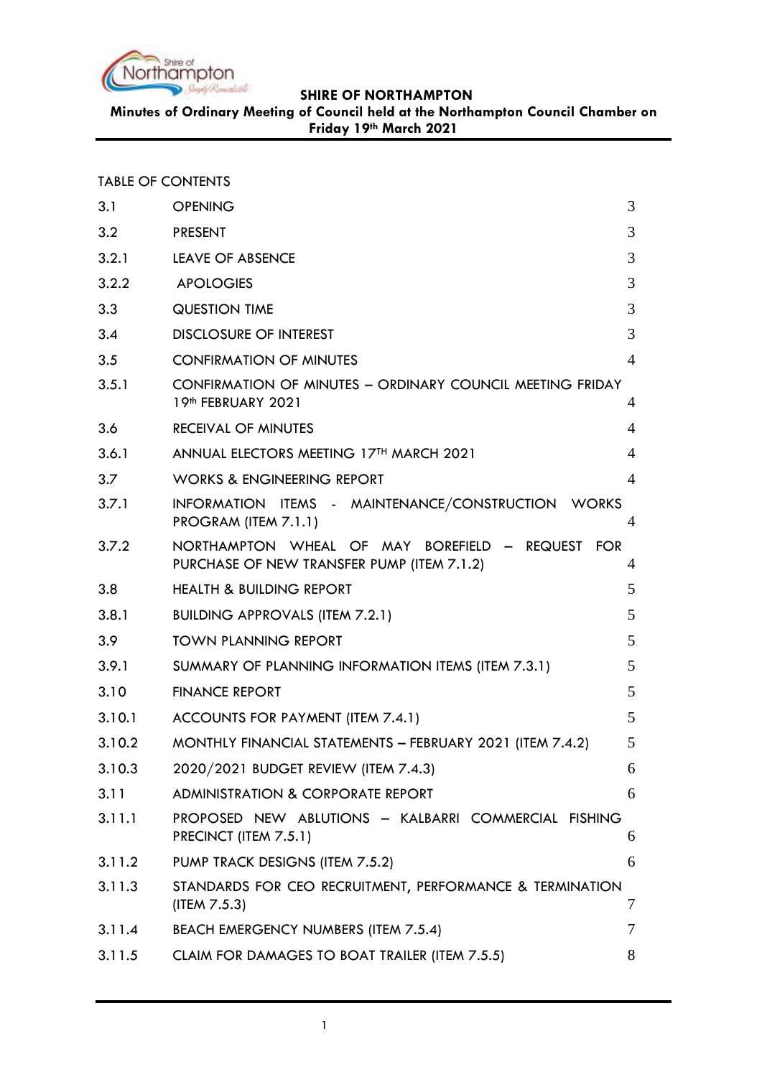

**Minutes of Ordinary Meeting of Council held at the Northampton Council Chamber on Friday 19th March 2021**

| <b>TABLE OF CONTENTS</b> |  |  |  |
|--------------------------|--|--|--|
|--------------------------|--|--|--|

| 3.1    | <b>OPENING</b>                                                                                 | 3              |
|--------|------------------------------------------------------------------------------------------------|----------------|
| 3.2    | <b>PRESENT</b>                                                                                 | 3              |
| 3.2.1  | <b>LEAVE OF ABSENCE</b>                                                                        | 3              |
| 3.2.2  | <b>APOLOGIES</b>                                                                               | 3              |
| 3.3    | <b>QUESTION TIME</b>                                                                           | 3              |
| 3.4    | <b>DISCLOSURE OF INTEREST</b>                                                                  | 3              |
| 3.5    | <b>CONFIRMATION OF MINUTES</b>                                                                 | $\overline{4}$ |
| 3.5.1  | CONFIRMATION OF MINUTES - ORDINARY COUNCIL MEETING FRIDAY<br>19th FEBRUARY 2021                | 4              |
| 3.6    | <b>RECEIVAL OF MINUTES</b>                                                                     | 4              |
| 3.6.1  | ANNUAL ELECTORS MEETING 17TH MARCH 2021                                                        | 4              |
| 3.7    | <b>WORKS &amp; ENGINEERING REPORT</b>                                                          | $\overline{4}$ |
| 3.7.1  | INFORMATION ITEMS - MAINTENANCE/CONSTRUCTION WORKS<br>PROGRAM (ITEM 7.1.1)                     | 4              |
| 3.7.2  | NORTHAMPTON WHEAL OF MAY BOREFIELD - REQUEST FOR<br>PURCHASE OF NEW TRANSFER PUMP (ITEM 7.1.2) | $\overline{4}$ |
| 3.8    | <b>HEALTH &amp; BUILDING REPORT</b>                                                            | 5              |
| 3.8.1  | <b>BUILDING APPROVALS (ITEM 7.2.1)</b>                                                         | 5              |
| 3.9    | <b>TOWN PLANNING REPORT</b>                                                                    | 5              |
| 3.9.1  | SUMMARY OF PLANNING INFORMATION ITEMS (ITEM 7.3.1)                                             | 5              |
| 3.10   | <b>FINANCE REPORT</b>                                                                          | 5              |
| 3.10.1 | ACCOUNTS FOR PAYMENT (ITEM 7.4.1)                                                              | 5              |
| 3.10.2 | MONTHLY FINANCIAL STATEMENTS - FEBRUARY 2021 (ITEM 7.4.2)                                      | 5              |
| 3.10.3 | 2020/2021 BUDGET REVIEW (ITEM 7.4.3)                                                           | 6              |
| 3.11   | ADMINISTRATION & CORPORATE REPORT                                                              | 6              |
| 3.11.1 | PROPOSED NEW ABLUTIONS - KALBARRI COMMERCIAL FISHING<br>PRECINCT (ITEM 7.5.1)                  | 6              |
| 3.11.2 | PUMP TRACK DESIGNS (ITEM 7.5.2)                                                                | 6              |
| 3.11.3 | STANDARDS FOR CEO RECRUITMENT, PERFORMANCE & TERMINATION<br>(IFEM 7.5.3)                       | 7              |
| 3.11.4 | BEACH EMERGENCY NUMBERS (ITEM 7.5.4)                                                           | 7              |
| 3.11.5 | CLAIM FOR DAMAGES TO BOAT TRAILER (ITEM 7.5.5)                                                 | 8              |
|        |                                                                                                |                |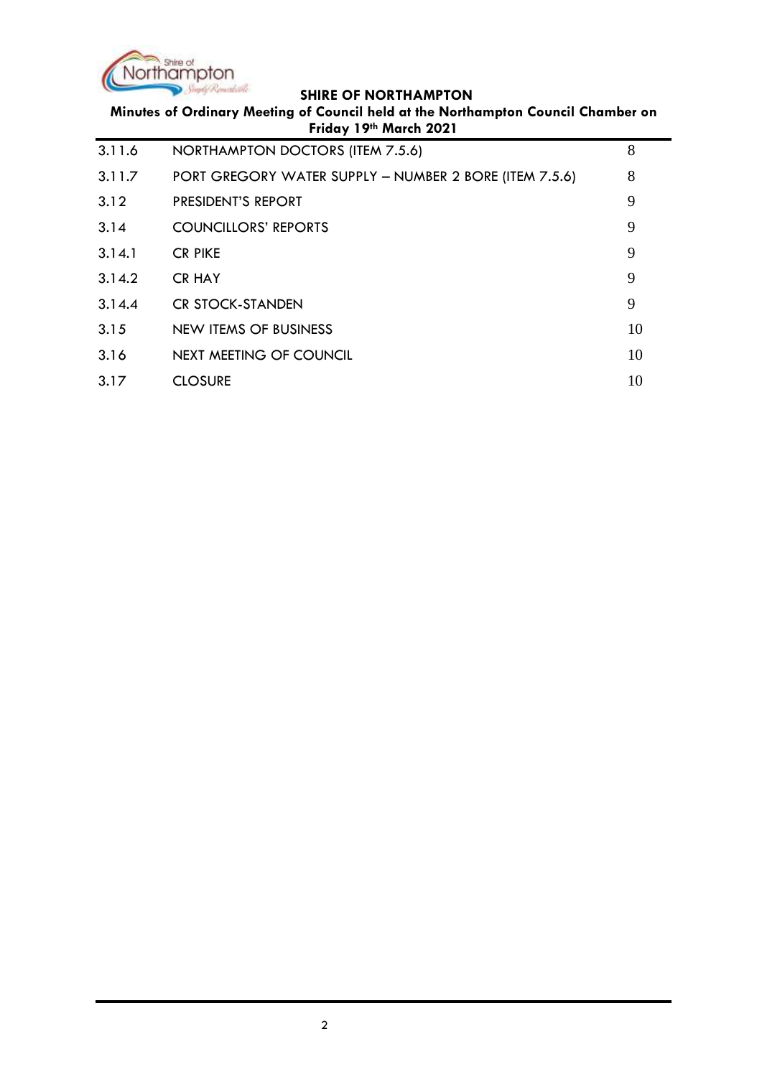

**Minutes of Ordinary Meeting of Council held at the Northampton Council Chamber on Friday 19th March 2021**

| 3.11.6 | NORTHAMPTON DOCTORS (ITEM 7.5.6)                       | 8  |
|--------|--------------------------------------------------------|----|
| 3.11.7 | PORT GREGORY WATER SUPPLY - NUMBER 2 BORE (ITEM 7.5.6) | 8  |
| 3.12   | PRESIDENT'S REPORT                                     | 9  |
| 3.14   | <b>COUNCILLORS' REPORTS</b>                            | 9  |
| 3.14.1 | <b>CR PIKE</b>                                         | 9  |
| 3.14.2 | <b>CR HAY</b>                                          | 9  |
| 3.14.4 | <b>CR STOCK-STANDEN</b>                                | 9  |
| 3.15   | NEW ITEMS OF BUSINESS                                  | 10 |
| 3.16   | NEXT MEETING OF COUNCIL                                | 10 |
| 3.17   | <b>CLOSURE</b>                                         | 10 |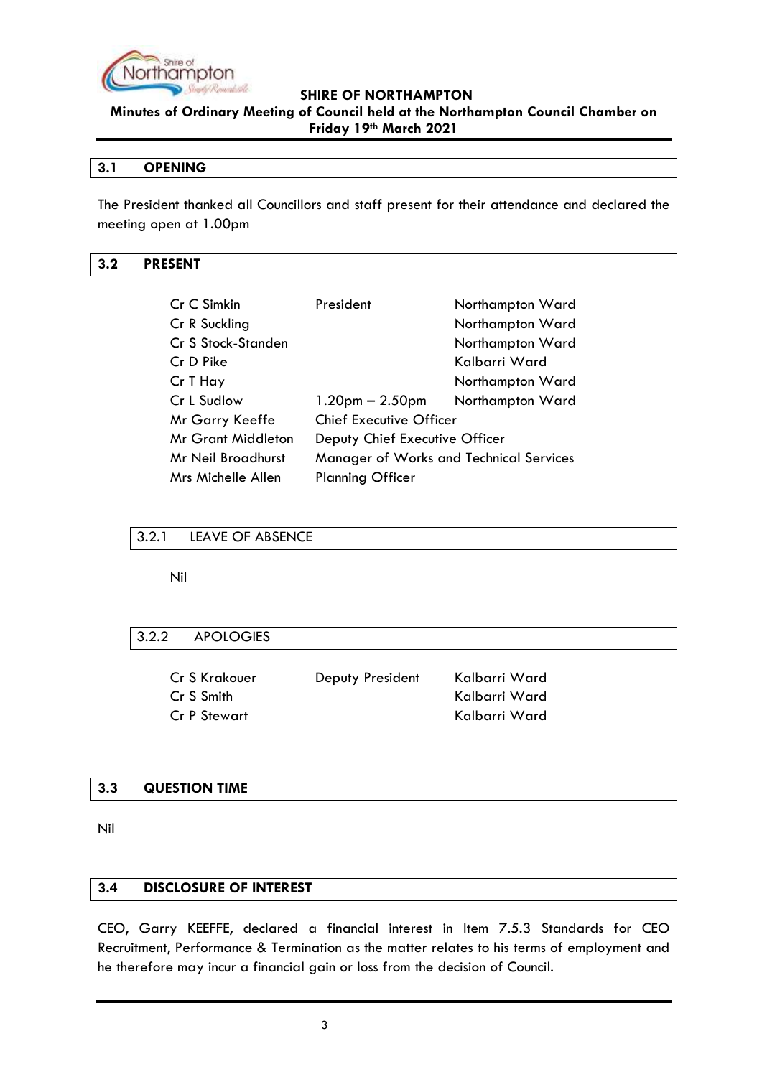

**Minutes of Ordinary Meeting of Council held at the Northampton Council Chamber on Friday 19th March 2021**

#### <span id="page-2-0"></span>**3.1 OPENING**

The President thanked all Councillors and staff present for their attendance and declared the meeting open at 1.00pm

## <span id="page-2-1"></span>**3.2 PRESENT**

| Cr C Simkin        | President                               | Northampton Ward |
|--------------------|-----------------------------------------|------------------|
| Cr R Suckling      |                                         | Northampton Ward |
| Cr S Stock-Standen |                                         | Northampton Ward |
| Cr D Pike          |                                         | Kalbarri Ward    |
| Cr T Hay           |                                         | Northampton Ward |
| Cr L Sudlow        | $1.20pm - 2.50pm$                       | Northampton Ward |
| Mr Garry Keeffe    | <b>Chief Executive Officer</b>          |                  |
| Mr Grant Middleton | Deputy Chief Executive Officer          |                  |
| Mr Neil Broadhurst | Manager of Works and Technical Services |                  |
| Mrs Michelle Allen | <b>Planning Officer</b>                 |                  |

#### <span id="page-2-2"></span>3.2.1 LEAVE OF ABSENCE

Nil

#### <span id="page-2-3"></span>3.2.2 APOLOGIES

| Cr S Krakouer | Deputy President | Kalbarri Ward |
|---------------|------------------|---------------|
| Cr S Smith    |                  | Kalbarri Ward |
| Cr P Stewart  |                  | Kalbarri Ward |

#### <span id="page-2-4"></span>**3.3 QUESTION TIME**

Nil

#### <span id="page-2-5"></span>**3.4 DISCLOSURE OF INTEREST**

CEO, Garry KEEFFE, declared a financial interest in Item 7.5.3 Standards for CEO Recruitment, Performance & Termination as the matter relates to his terms of employment and he therefore may incur a financial gain or loss from the decision of Council.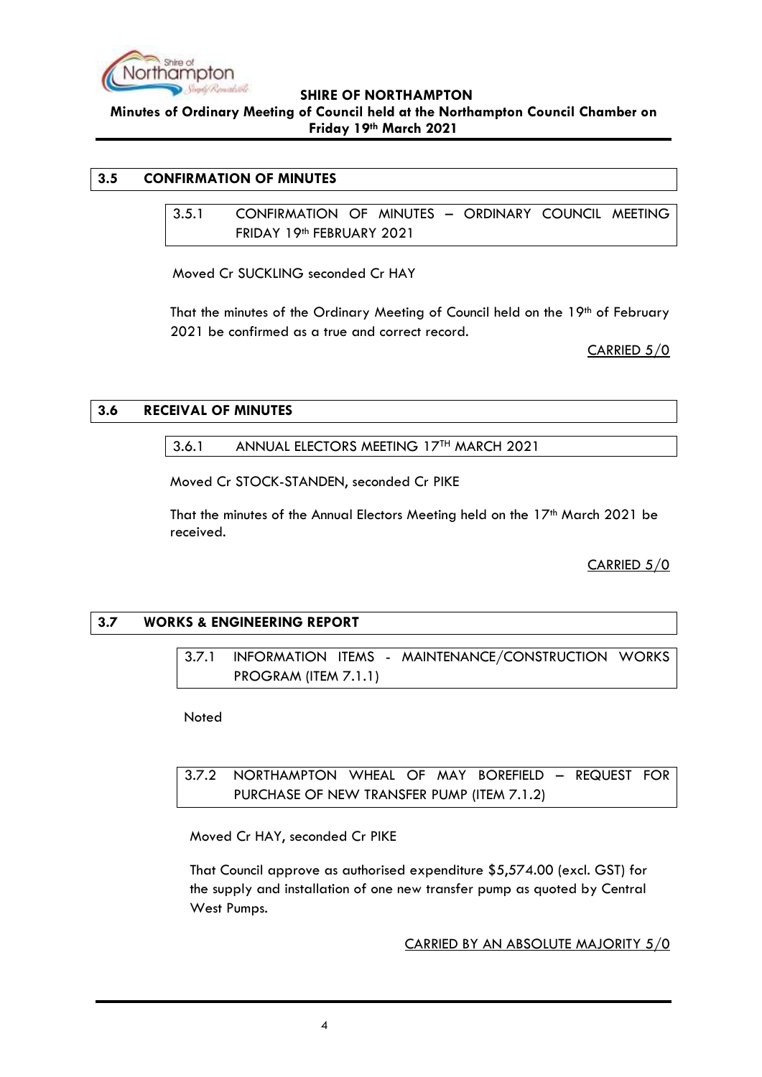

**Minutes of Ordinary Meeting of Council held at the Northampton Council Chamber on Friday 19th March 2021**

# <span id="page-3-1"></span><span id="page-3-0"></span>**3.5 CONFIRMATION OF MINUTES**

3.5.1 CONFIRMATION OF MINUTES – ORDINARY COUNCIL MEETING FRIDAY 19th FEBRUARY 2021

Moved Cr SUCKLING seconded Cr HAY

That the minutes of the Ordinary Meeting of Council held on the  $19<sup>th</sup>$  of February 2021 be confirmed as a true and correct record.

CARRIED 5/0

#### <span id="page-3-3"></span><span id="page-3-2"></span>**3.6 RECEIVAL OF MINUTES**

3.6.1 ANNUAL ELECTORS MEETING 17TH MARCH 2021

Moved Cr STOCK-STANDEN, seconded Cr PIKE

That the minutes of the Annual Electors Meeting held on the  $17<sup>th</sup>$  March 2021 be received.

CARRIED 5/0

# <span id="page-3-5"></span><span id="page-3-4"></span>**3.7 WORKS & ENGINEERING REPORT**

3.7.1 INFORMATION ITEMS - MAINTENANCE/CONSTRUCTION WORKS PROGRAM (ITEM 7.1.1)

Noted

<span id="page-3-6"></span>3.7.2 NORTHAMPTON WHEAL OF MAY BOREFIELD – REQUEST FOR PURCHASE OF NEW TRANSFER PUMP (ITEM 7.1.2)

Moved Cr HAY, seconded Cr PIKE

That Council approve as authorised expenditure \$5,574.00 (excl. GST) for the supply and installation of one new transfer pump as quoted by Central West Pumps.

CARRIED BY AN ABSOLUTE MAJORITY 5/0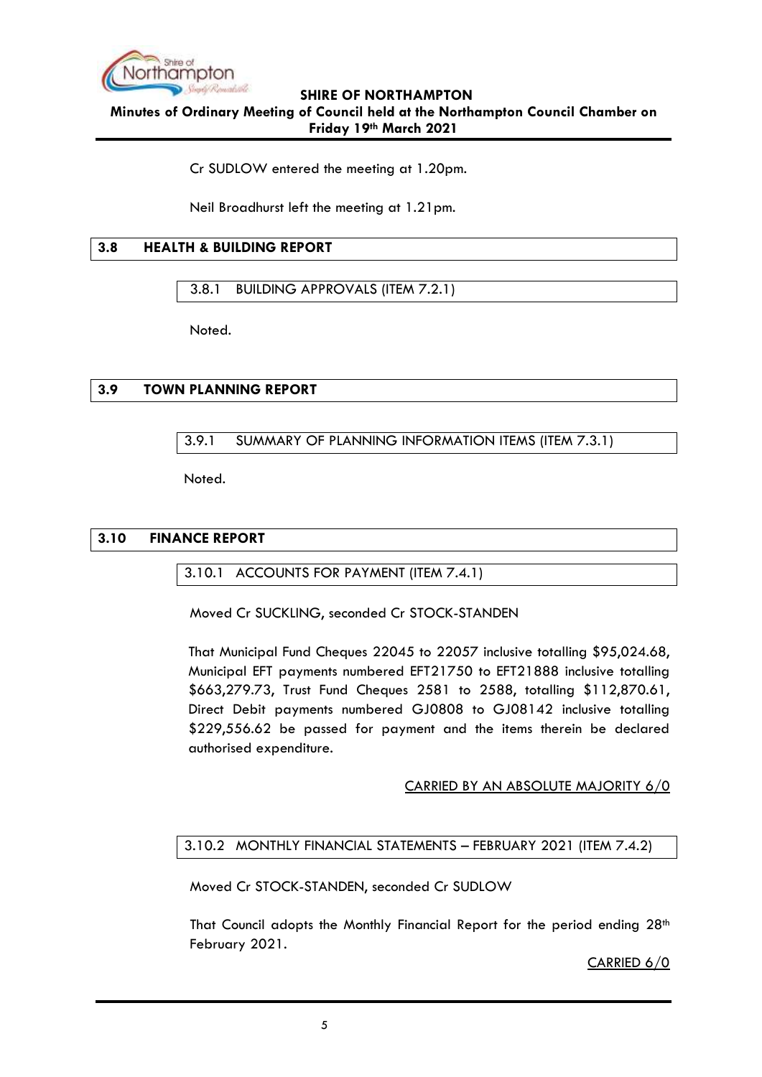

## **SHIRE OF NORTHAMPTON Minutes of Ordinary Meeting of Council held at the Northampton Council Chamber on**

**Friday 19th March 2021**

Cr SUDLOW entered the meeting at 1.20pm.

Neil Broadhurst left the meeting at 1.21pm.

# <span id="page-4-0"></span>**3.8 HEALTH & BUILDING REPORT**

<span id="page-4-1"></span>3.8.1 BUILDING APPROVALS (ITEM 7.2.1)

Noted.

# <span id="page-4-3"></span><span id="page-4-2"></span>**3.9 TOWN PLANNING REPORT**

# 3.9.1 SUMMARY OF PLANNING INFORMATION ITEMS (ITEM 7.3.1)

Noted.

# <span id="page-4-5"></span><span id="page-4-4"></span>**3.10 FINANCE REPORT**

3.10.1 ACCOUNTS FOR PAYMENT (ITEM 7.4.1)

Moved Cr SUCKLING, seconded Cr STOCK-STANDEN

That Municipal Fund Cheques 22045 to 22057 inclusive totalling \$95,024.68, Municipal EFT payments numbered EFT21750 to EFT21888 inclusive totalling \$663,279.73, Trust Fund Cheques 2581 to 2588, totalling \$112,870.61, Direct Debit payments numbered GJ0808 to GJ08142 inclusive totalling \$229,556.62 be passed for payment and the items therein be declared authorised expenditure.

## CARRIED BY AN ABSOLUTE MAJORITY 6/0

## <span id="page-4-6"></span>3.10.2 MONTHLY FINANCIAL STATEMENTS – FEBRUARY 2021 (ITEM 7.4.2)

Moved Cr STOCK-STANDEN, seconded Cr SUDLOW

That Council adopts the Monthly Financial Report for the period ending  $28<sup>th</sup>$ February 2021.

CARRIED 6/0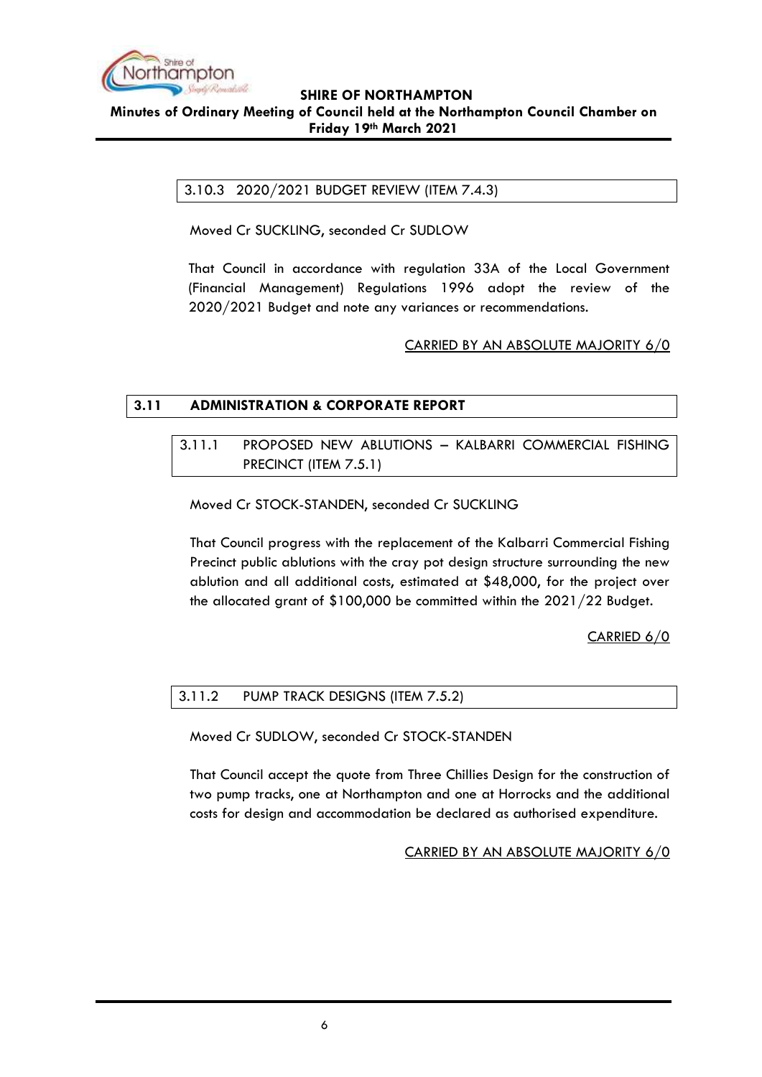

## **SHIRE OF NORTHAMPTON Minutes of Ordinary Meeting of Council held at the Northampton Council Chamber on Friday 19th March 2021**

<span id="page-5-0"></span>3.10.3 2020/2021 BUDGET REVIEW (ITEM 7.4.3)

Moved Cr SUCKLING, seconded Cr SUDLOW

That Council in accordance with regulation 33A of the Local Government (Financial Management) Regulations 1996 adopt the review of the 2020/2021 Budget and note any variances or recommendations.

## CARRIED BY AN ABSOLUTE MAJORITY 6/0

# <span id="page-5-2"></span><span id="page-5-1"></span>**3.11 ADMINISTRATION & CORPORATE REPORT**

3.11.1 PROPOSED NEW ABLUTIONS – KALBARRI COMMERCIAL FISHING PRECINCT (ITEM 7.5.1)

Moved Cr STOCK-STANDEN, seconded Cr SUCKLING

That Council progress with the replacement of the Kalbarri Commercial Fishing Precinct public ablutions with the cray pot design structure surrounding the new ablution and all additional costs, estimated at \$48,000, for the project over the allocated grant of \$100,000 be committed within the 2021/22 Budget.

CARRIED 6/0

## <span id="page-5-3"></span>3.11.2 PUMP TRACK DESIGNS (ITEM 7.5.2)

Moved Cr SUDLOW, seconded Cr STOCK-STANDEN

That Council accept the quote from Three Chillies Design for the construction of two pump tracks, one at Northampton and one at Horrocks and the additional costs for design and accommodation be declared as authorised expenditure.

CARRIED BY AN ABSOLUTE MAJORITY 6/0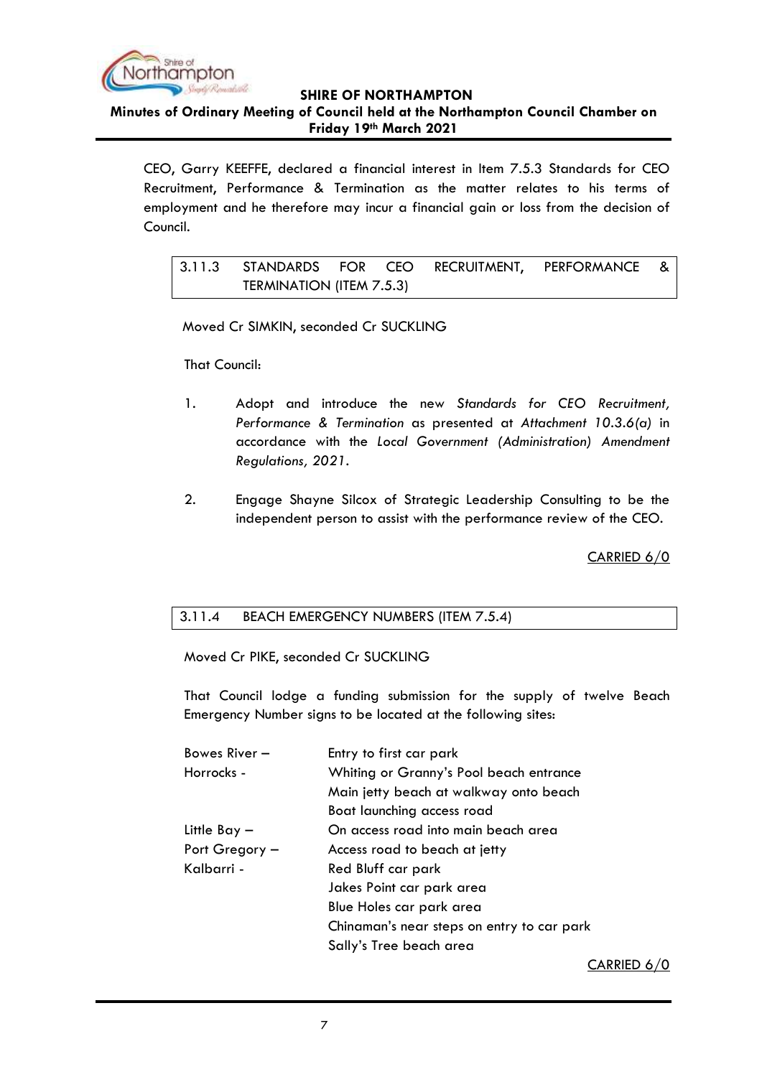

**Minutes of Ordinary Meeting of Council held at the Northampton Council Chamber on Friday 19th March 2021**

CEO, Garry KEEFFE, declared a financial interest in Item 7.5.3 Standards for CEO Recruitment, Performance & Termination as the matter relates to his terms of employment and he therefore may incur a financial gain or loss from the decision of Council.

<span id="page-6-0"></span>3.11.3 STANDARDS FOR CEO RECRUITMENT, PERFORMANCE & TERMINATION (ITEM 7.5.3)

Moved Cr SIMKIN, seconded Cr SUCKLING

That Council:

- 1. Adopt and introduce the new *Standards for CEO Recruitment, Performance & Termination* as presented at *Attachment 10.3.6(a)* in accordance with the *Local Government (Administration) Amendment Regulations, 2021*.
- 2. Engage Shayne Silcox of Strategic Leadership Consulting to be the independent person to assist with the performance review of the CEO.

CARRIED 6/0

## <span id="page-6-1"></span>3.11.4 BEACH EMERGENCY NUMBERS (ITEM 7.5.4)

Moved Cr PIKE, seconded Cr SUCKLING

That Council lodge a funding submission for the supply of twelve Beach Emergency Number signs to be located at the following sites:

| Bowes River -  | Entry to first car park                    |  |  |
|----------------|--------------------------------------------|--|--|
| Horrocks -     | Whiting or Granny's Pool beach entrance    |  |  |
|                | Main jetty beach at walkway onto beach     |  |  |
|                | Boat launching access road                 |  |  |
| Little Bay $-$ | On access road into main beach area        |  |  |
| Port Gregory - | Access road to beach at jetty              |  |  |
| Kalbarri -     | Red Bluff car park                         |  |  |
|                | Jakes Point car park area                  |  |  |
|                | Blue Holes car park area                   |  |  |
|                | Chinaman's near steps on entry to car park |  |  |
|                | Sally's Tree beach area                    |  |  |
|                | $\sim$ A DDIE                              |  |  |

CARRIED 6/0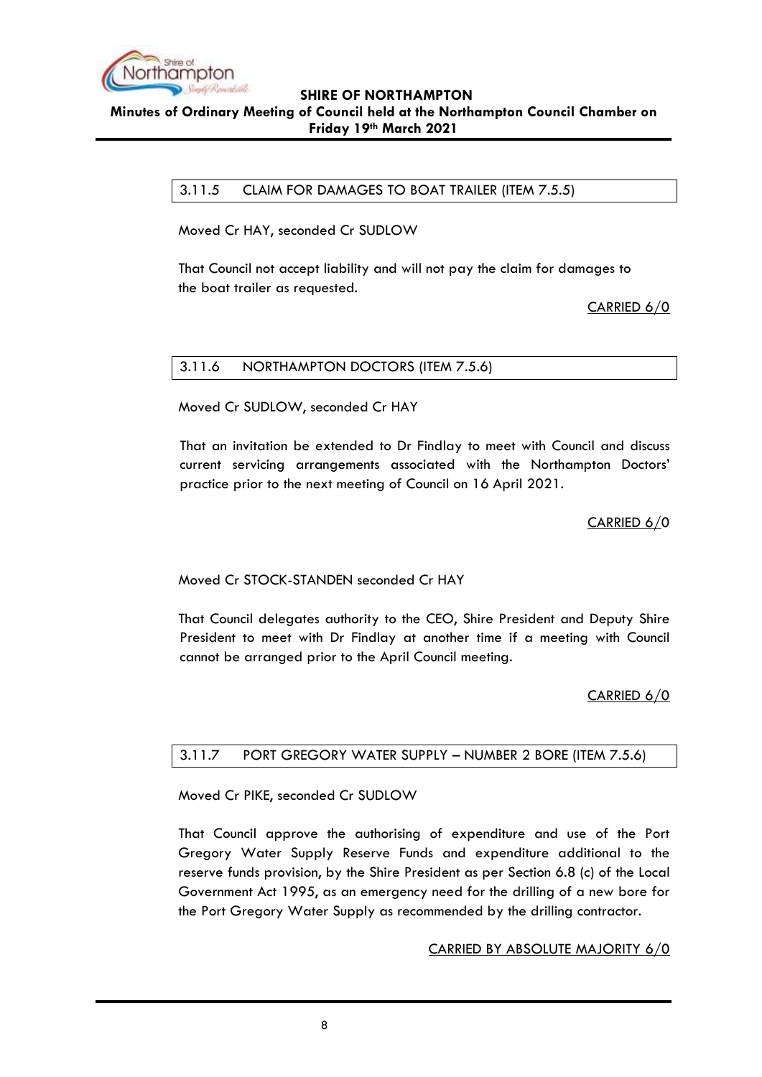

## **SHIRE OF NORTHAMPTON Minutes of Ordinary Meeting of Council held at the Northampton Council Chamber on Friday 19th March 2021**

<span id="page-7-0"></span>3.11.5 CLAIM FOR DAMAGES TO BOAT TRAILER (ITEM 7.5.5)

Moved Cr HAY, seconded Cr SUDLOW

That Council not accept liability and will not pay the claim for damages to the boat trailer as requested.

CARRIED 6/0

## <span id="page-7-1"></span>3.11.6 NORTHAMPTON DOCTORS (ITEM 7.5.6)

Moved Cr SUDLOW, seconded Cr HAY

That an invitation be extended to Dr Findlay to meet with Council and discuss current servicing arrangements associated with the Northampton Doctors' practice prior to the next meeting of Council on 16 April 2021.

CARRIED 6/0

Moved Cr STOCK-STANDEN seconded Cr HAY

That Council delegates authority to the CEO, Shire President and Deputy Shire President to meet with Dr Findlay at another time if a meeting with Council cannot be arranged prior to the April Council meeting.

CARRIED 6/0

## <span id="page-7-2"></span>3.11.7 PORT GREGORY WATER SUPPLY – NUMBER 2 BORE (ITEM 7.5.6)

Moved Cr PIKE, seconded Cr SUDLOW

That Council approve the authorising of expenditure and use of the Port Gregory Water Supply Reserve Funds and expenditure additional to the reserve funds provision, by the Shire President as per Section 6.8 (c) of the Local Government Act 1995, as an emergency need for the drilling of a new bore for the Port Gregory Water Supply as recommended by the drilling contractor.

## CARRIED BY ABSOLUTE MAJORITY 6/0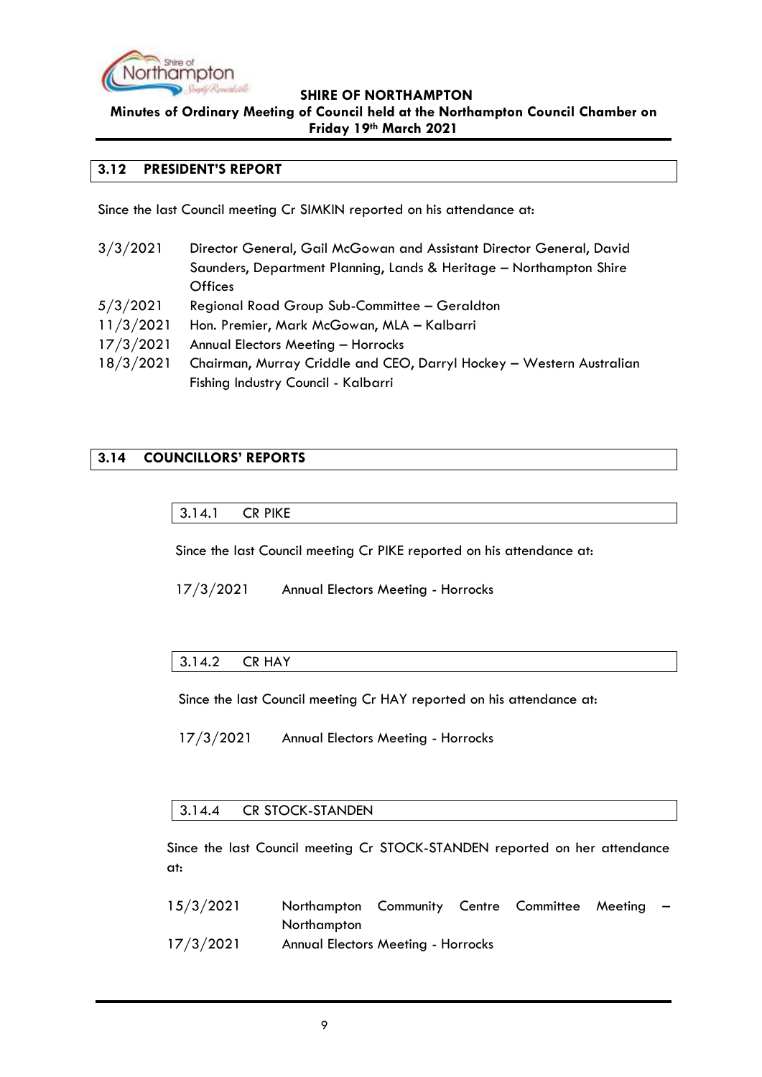

**Minutes of Ordinary Meeting of Council held at the Northampton Council Chamber on Friday 19th March 2021**

#### <span id="page-8-0"></span>**3.12 PRESIDENT'S REPORT**

Since the last Council meeting Cr SIMKIN reported on his attendance at:

3/3/2021 Director General, Gail McGowan and Assistant Director General, David Saunders, Department Planning, Lands & Heritage – Northampton Shire **Offices** 5/3/2021 Regional Road Group Sub-Committee – Geraldton 11/3/2021 Hon. Premier, Mark McGowan, MLA – Kalbarri 17/3/2021 Annual Electors Meeting – Horrocks 18/3/2021 Chairman, Murray Criddle and CEO, Darryl Hockey – Western Australian Fishing Industry Council - Kalbarri

# <span id="page-8-2"></span><span id="page-8-1"></span>**3.14 COUNCILLORS' REPORTS**

3.14.1 CR PIKE

Since the last Council meeting Cr PIKE reported on his attendance at:

17/3/2021 Annual Electors Meeting - Horrocks

## <span id="page-8-3"></span>3.14.2 CR HAY

Since the last Council meeting Cr HAY reported on his attendance at:

17/3/2021 Annual Electors Meeting - Horrocks

#### <span id="page-8-4"></span>3.14.4 CR STOCK-STANDEN

Since the last Council meeting Cr STOCK-STANDEN reported on her attendance at:

| 15/3/2021 | Northampton Community Centre Committee Meeting |  |  | $\overline{\phantom{0}}$ |
|-----------|------------------------------------------------|--|--|--------------------------|
|           | Northampton                                    |  |  |                          |
| 17/3/2021 | <b>Annual Electors Meeting - Horrocks</b>      |  |  |                          |